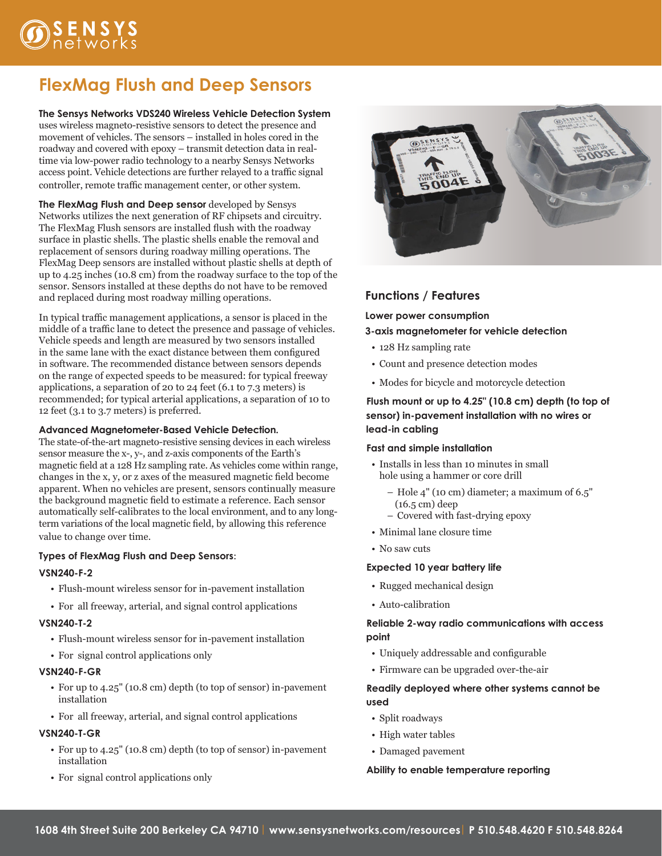

# **FlexMag Flush and Deep Sensors**

**The Sensys Networks VDS240 Wireless Vehicle Detection System** uses wireless magneto-resistive sensors to detect the presence and movement of vehicles. The sensors – installed in holes cored in the roadway and covered with epoxy – transmit detection data in realtime via low-power radio technology to a nearby Sensys Networks access point. Vehicle detections are further relayed to a traffic signal controller, remote traffic management center, or other system.

**The FlexMag Flush and Deep sensor** developed by Sensys Networks utilizes the next generation of RF chipsets and circuitry. The FlexMag Flush sensors are installed flush with the roadway surface in plastic shells. The plastic shells enable the removal and replacement of sensors during roadway milling operations. The FlexMag Deep sensors are installed without plastic shells at depth of up to 4.25 inches (10.8 cm) from the roadway surface to the top of the sensor. Sensors installed at these depths do not have to be removed and replaced during most roadway milling operations.

In typical traffic management applications, a sensor is placed in the middle of a traffic lane to detect the presence and passage of vehicles. Vehicle speeds and length are measured by two sensors installed in the same lane with the exact distance between them configured in software. The recommended distance between sensors depends on the range of expected speeds to be measured: for typical freeway applications, a separation of 20 to 24 feet (6.1 to 7.3 meters) is recommended; for typical arterial applications, a separation of 10 to 12 feet (3.1 to 3.7 meters) is preferred.

#### **Advanced Magnetometer-Based Vehicle Detection.**

The state-of-the-art magneto-resistive sensing devices in each wireless sensor measure the x-, y-, and z-axis components of the Earth's magnetic field at a 128 Hz sampling rate. As vehicles come within range, changes in the x, y, or z axes of the measured magnetic field become apparent. When no vehicles are present, sensors continually measure the background magnetic field to estimate a reference. Each sensor automatically self-calibrates to the local environment, and to any longterm variations of the local magnetic field, by allowing this reference value to change over time.

#### **Types of FlexMag Flush and Deep Sensors**:

#### **VSN240-F-2**

- • Flush-mount wireless sensor for in-pavement installation
- For all freeway, arterial, and signal control applications

#### **VSN240-T-2**

- Flush-mount wireless sensor for in-pavement installation
- For signal control applications only

#### **VSN240-F-GR**

- For up to 4.25" (10.8 cm) depth (to top of sensor) in-pavement installation
- For all freeway, arterial, and signal control applications

#### **VSN240-T-GR**

- • For up to 4.25" (10.8 cm) depth (to top of sensor) in-pavement installation
- For signal control applications only



## **Functions / Features**

**Lower power consumption**

#### **3-axis magnetometer for vehicle detection**

- 128 Hz sampling rate
- • Count and presence detection modes
- • Modes for bicycle and motorcycle detection

### **Flush mount or up to 4.25" (10.8 cm) depth (to top of sensor) in-pavement installation with no wires or lead-in cabling**

#### **Fast and simple installation**

- • Installs in less than 10 minutes in small hole using a hammer or core drill
	- Hole 4" (10 cm) diameter; a maximum of 6.5" (16.5 cm) deep
	- Covered with fast-drying epoxy
- Minimal lane closure time
- No saw cuts

#### **Expected 10 year battery life**

- Rugged mechanical design
- • Auto-calibration

#### **Reliable 2-way radio communications with access point**

- • Uniquely addressable and configurable
- Firmware can be upgraded over-the-air

### **Readily deployed where other systems cannot be used**

- Split roadways
- High water tables
- • Damaged pavement

#### **Ability to enable temperature reporting**